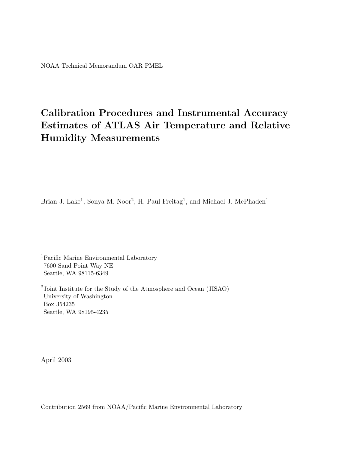# **Calibration Procedures and Instrumental Accuracy Estimates of ATLAS Air Temperature and Relative Humidity Measurements**

Brian J. Lake<sup>1</sup>, Sonya M. Noor<sup>2</sup>, H. Paul Freitag<sup>1</sup>, and Michael J. McPhaden<sup>1</sup>

<sup>1</sup>Pacific Marine Environmental Laboratory 7600 Sand Point Way NE Seattle, WA 98115-6349

<sup>2</sup>Joint Institute for the Study of the Atmosphere and Ocean (JISAO) University of Washington Box 354235 Seattle, WA 98195-4235

April 2003

Contribution 2569 from NOAA/Pacific Marine Environmental Laboratory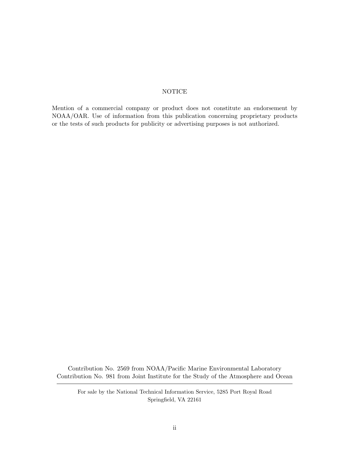#### NOTICE

Mention of a commercial company or product does not constitute an endorsement by NOAA/OAR. Use of information from this publication concerning proprietary products or the tests of such products for publicity or advertising purposes is not authorized.

Contribution No. 2569 from NOAA/Pacific Marine Environmental Laboratory Contribution No. 981 from Joint Institute for the Study of the Atmosphere and Ocean

For sale by the National Technical Information Service, 5285 Port Royal Road Springfield, VA 22161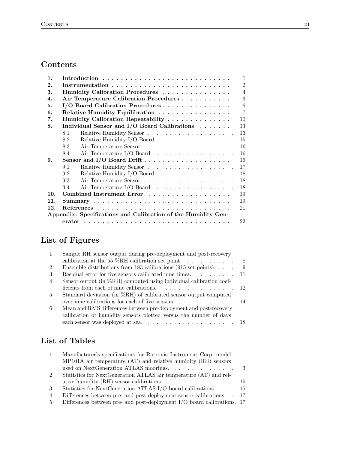## **Contents**

| 1.  |                                                               | $\mathbf{1}$   |  |  |  |  |
|-----|---------------------------------------------------------------|----------------|--|--|--|--|
| 2.  | $\mathcal{D}_{1}$                                             |                |  |  |  |  |
| 3.  | Humidity Calibration Procedures                               | $\overline{4}$ |  |  |  |  |
| 4.  | Air Temperature Calibration Procedures                        | 6              |  |  |  |  |
| 5.  | I/O Board Calibration Procedures                              | 6              |  |  |  |  |
| 6.  | Relative Humidity Equilibration                               | $\overline{7}$ |  |  |  |  |
| 7.  | Humidity Calibration Repeatability                            | 10             |  |  |  |  |
| 8.  | Individual Sensor and I/O Board Calibrations                  | 13             |  |  |  |  |
|     | 8.1                                                           | 13             |  |  |  |  |
|     | 8.2                                                           | 15             |  |  |  |  |
|     | 8.3                                                           | 16             |  |  |  |  |
|     | 8.4                                                           | 16             |  |  |  |  |
| 9.  |                                                               | 16             |  |  |  |  |
|     | 9.1                                                           | 17             |  |  |  |  |
|     | 9.2                                                           | 18             |  |  |  |  |
|     | 9.3                                                           | 18             |  |  |  |  |
|     | 9.4                                                           | 18             |  |  |  |  |
| 10. | Combined Instrument Error                                     | 19             |  |  |  |  |
| 11. | 19                                                            |                |  |  |  |  |
| 12. | 21                                                            |                |  |  |  |  |
|     | Appendix: Specifications and Calibration of the Humidity Gen- |                |  |  |  |  |
|     |                                                               | 22             |  |  |  |  |

# **List of Figures**

| -1             | Sample RH sensor output during pre-deployment and post-recovery                     |   |
|----------------|-------------------------------------------------------------------------------------|---|
|                | calibration at the 55 %RH calibration set point                                     | 8 |
| $\overline{2}$ | Ensemble distributions from 183 calibrations (915 set points). $\dots$ .            | 9 |
| 3              | Residual error for five sensors calibrated nine times. $\dots \dots \dots \dots$ 11 |   |
| $\overline{4}$ | Sensor output (in $\%RH$ ) computed using individual calibration coef-              |   |
|                |                                                                                     |   |
| 5              | Standard deviation (in %RH) of calibrated sensor output computed                    |   |
|                | over nine calibrations for each of five sensors. $\dots \dots \dots \dots \dots$ 14 |   |
| 6              | Mean and RMS differences between pre-deployment and post-recovery                   |   |
|                | calibration of humidity sensors plotted versus the number of days                   |   |
|                |                                                                                     |   |

# **List of Tables**

| $\mathbf{1}$   | Manufacturer's specifications for Rotronic Instrument Corp. model                              |     |
|----------------|------------------------------------------------------------------------------------------------|-----|
|                | $MP101A$ air temperature $(AT)$ and relative humidity $(RH)$ sensors                           |     |
|                | used on NextGeneration ATLAS moorings.                                                         | - 3 |
| $\mathcal{D}$  | Statistics for NextGeneration ATLAS air temperature (AT) and rel-                              |     |
|                | ative humidity (RH) sensor calibrations. $\ldots \ldots \ldots \ldots \ldots \ldots \ldots$ 15 |     |
| 3              | Statistics for Next<br>Generation ATLAS I/O board calibrations. 15                             |     |
| $\overline{4}$ | Differences between pre- and post-deployment sensor calibrations 17                            |     |
| $5^{\circ}$    | Differences between pre- and post-deployment $I/O$ board calibrations. 17                      |     |
|                |                                                                                                |     |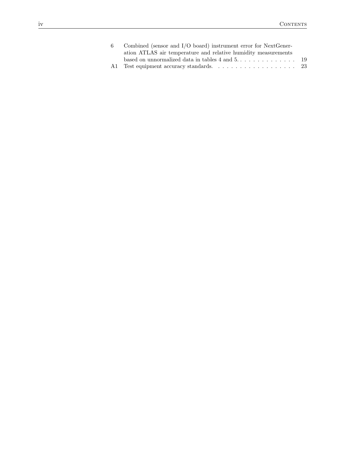| 6 Combined (sensor and $I/O$ board) instrument error for NextGener-                   |  |
|---------------------------------------------------------------------------------------|--|
| ation ATLAS air temperature and relative humidity measurements                        |  |
| based on unnormalized data in tables $4$ and $5$ $\dots$ $\dots$ $\dots$ $\dots$ $19$ |  |
|                                                                                       |  |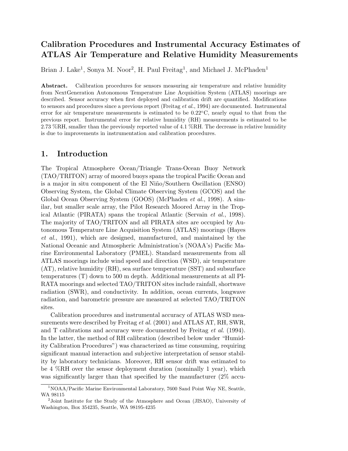## <span id="page-4-0"></span>**Calibration Procedures and Instrumental Accuracy Estimates of ATLAS Air Temperature and Relative Humidity Measurements**

Brian J. Lake<sup>1</sup>, Sonya M. Noor<sup>2</sup>, H. Paul Freitag<sup>1</sup>, and Michael J. McPhaden<sup>1</sup>

**Abstract.** Calibration procedures for sensors measuring air temperature and relative humidity from NextGeneration Autonomous Temperature Line Acquisition System (ATLAS) moorings are described. Sensor accuracy when first deployed and calibration drift are quantified. Modifications to sensors and procedures since a previous report (Freitag *et al.*, 1994) are documented. Instrumental error for air temperature measurements is estimated to be 0.22◦C, nearly equal to that from the previous report. Instrumental error for relative humidity (RH) measurements is estimated to be 2.73 %RH, smaller than the previously reported value of 4.1 %RH. The decrease in relative humidity is due to improvements in instrumentation and calibration procedures.

## **1. Introduction**

The Tropical Atmosphere Ocean/Triangle Trans-Ocean Buoy Network (TAO/TRITON) array of moored buoys spans the tropical Pacific Ocean and is a major in situ component of the El Niño/Southern Oscillation (ENSO) Observing System, the Global Climate Observing System (GCOS) and the Global Ocean Observing System (GOOS) (McPhaden *et al.*, 1998). A similar, but smaller scale array, the Pilot Research Moored Array in the Tropical Atlantic (PIRATA) spans the tropical Atlantic (Servain *et al.*, 1998). The majority of TAO/TRITON and all PIRATA sites are occupied by Autonomous Temperature Line Acquisition System (ATLAS) moorings (Hayes *et al.*, 1991), which are designed, manufactured, and maintained by the National Oceanic and Atmospheric Administration's (NOAA's) Pacific Marine Environmental Laboratory (PMEL). Standard measurements from all ATLAS moorings include wind speed and direction (WSD), air temperature (AT), relative humidity (RH), sea surface temperature (SST) and subsurface temperatures (T) down to 500 m depth. Additional measurements at all PI-RATA moorings and selected TAO/TRITON sites include rainfall, shortwave radiation (SWR), and conductivity. In addition, ocean currents, longwave radiation, and barometric pressure are measured at selected TAO/TRITON sites.

Calibration procedures and instrumental accuracy of ATLAS WSD measurements were described by Freitag *et al.* (2001) and ATLAS AT, RH, SWR, and T calibrations and accuracy were documented by Freitag *et al.* (1994). In the latter, the method of RH calibration (described below under "Humidity Calibration Procedures") was characterized as time consuming, requiring significant manual interaction and subjective interpretation of sensor stability by laboratory technicians. Moreover, RH sensor drift was estimated to be 4 %RH over the sensor deployment duration (nominally 1 year), which was significantly larger than that specified by the manufacturer  $(2\% \text{ accu-}$ 

<sup>&</sup>lt;sup>1</sup>NOAA/Pacific Marine Environmental Laboratory, 7600 Sand Point Way NE, Seattle, WA 98115

<sup>&</sup>lt;sup>2</sup>Joint Institute for the Study of the Atmosphere and Ocean (JISAO), University of Washington, Box 354235, Seattle, WA 98195-4235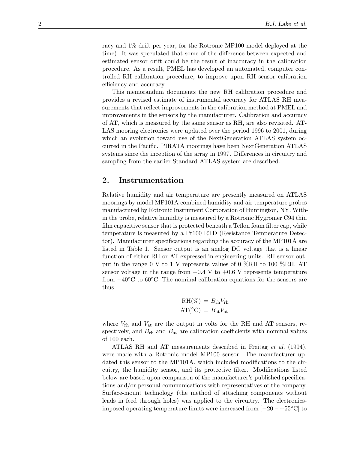<span id="page-5-0"></span>racy and 1% drift per year, for the Rotronic MP100 model deployed at the time). It was speculated that some of the difference between expected and estimated sensor drift could be the result of inaccuracy in the calibration procedure. As a result, PMEL has developed an automated, computer controlled RH calibration procedure, to improve upon RH sensor calibration efficiency and accuracy.

This memorandum documents the new RH calibration procedure and provides a revised estimate of instrumental accuracy for ATLAS RH measurements that reflect improvements in the calibration method at PMEL and improvements in the sensors by the manufacturer. Calibration and accuracy of AT, which is measured by the same sensor as RH, are also revisited. AT-LAS mooring electronics were updated over the period 1996 to 2001, during which an evolution toward use of the NextGeneration ATLAS system occurred in the Pacific. PIRATA moorings have been NextGeneration ATLAS systems since the inception of the array in 1997. Differences in circuitry and sampling from the earlier Standard ATLAS system are described.

#### **2. Instrumentation**

Relative humidity and air temperature are presently measured on ATLAS moorings by model MP101A combined humidity and air temperature probes manufactured by Rotronic Instrument Corporation of Huntington, NY. Within the probe, relative humidity is measured by a Rotronic Hygromer C94 thin film capacitive sensor that is protected beneath a Teflon foam filter cap, while temperature is measured by a Pt100 RTD (Resistance Temperature Detector). Manufacturer specifications regarding the accuracy of the MP101A are listed in Table 1. Sensor output is an analog DC voltage that is a linear function of either RH or AT expressed in engineering units. RH sensor output in the range 0 V to 1 V represents values of 0 %RH to 100 %RH. AT sensor voltage in the range from  $-0.4$  V to  $+0.6$  V represents temperature from  $-40\degree$ C to 60 $\degree$ C. The nominal calibration equations for the sensors are thus

$$
RH(\%) = B_{rh}V_{rh}
$$

$$
AT(^{\circ}C) = B_{at}V_{at}
$$

where  $V_{\text{rh}}$  and  $V_{\text{at}}$  are the output in volts for the RH and AT sensors, respectively, and  $B_{\rm rh}$  and  $B_{\rm at}$  are calibration coefficients with nominal values of 100 each.

ATLAS RH and AT measurements described in Freitag *et al.* (1994), were made with a Rotronic model MP100 sensor. The manufacturer updated this sensor to the MP101A, which included modifications to the circuitry, the humidity sensor, and its protective filter. Modifications listed below are based upon comparison of the manufacturer's published specifications and/or personal communications with representatives of the company. Surface-mount technology (the method of attaching components without leads in feed through holes) was applied to the circuitry. The electronicsimposed operating temperature limits were increased from  $[-20 - +55\degree \text{C}]$  to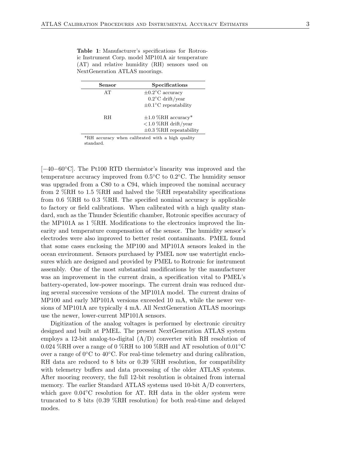<span id="page-6-0"></span>

|  | <b>Table 1:</b> Manufacturer's specifications for Rotron- |  |  |  |  |
|--|-----------------------------------------------------------|--|--|--|--|
|  | ic Instrument Corp. model MP101A air temperature          |  |  |  |  |
|  | (AT) and relative humidity (RH) sensors used on           |  |  |  |  |
|  | Next Generation ATLAS moorings.                           |  |  |  |  |

| Sensor | Specifications                    |
|--------|-----------------------------------|
| AT     | $\pm 0.2^{\circ}$ C accuracy      |
|        | $0.2^{\circ}$ C drift/year        |
|        | $\pm 0.1^{\circ}$ C repeatability |
|        |                                   |
| RН     | $\pm 1.0$ %RH accuracy*           |
|        | $<$ 1.0 %RH drift/year            |
|        | $\pm 0.3$ %RH repeatability       |

\*RH accuracy when calibrated with a high quality standard.

[−40−60◦C]. The Pt100 RTD thermistor's linearity was improved and the temperature accuracy improved from 0.5◦C to 0.2◦C. The humidity sensor was upgraded from a C80 to a C94, which improved the nominal accuracy from 2 %RH to 1.5 %RH and halved the %RH repeatability specifications from 0.6 %RH to 0.3 %RH. The specified nominal accuracy is applicable to factory or field calibrations. When calibrated with a high quality standard, such as the Thunder Scientific chamber, Rotronic specifies accuracy of the MP101A as 1 %RH. Modifications to the electronics improved the linearity and temperature compensation of the sensor. The humidity sensor's electrodes were also improved to better resist contaminants. PMEL found that some cases enclosing the MP100 and MP101A sensors leaked in the ocean environment. Sensors purchased by PMEL now use watertight enclosures which are designed and provided by PMEL to Rotronic for instrument assembly. One of the most substantial modifications by the manufacturer was an improvement in the current drain, a specification vital to PMEL's battery-operated, low-power moorings. The current drain was reduced during several successive versions of the MP101A model. The current drains of MP100 and early MP101A versions exceeded 10 mA, while the newer versions of MP101A are typically 4 mA. All NextGeneration ATLAS moorings use the newer, lower-current MP101A sensors.

Digitization of the analog voltages is performed by electronic circuitry designed and built at PMEL. The present NextGeneration ATLAS system employs a 12-bit analog-to-digital  $(A/D)$  converter with RH resolution of 0.024 %RH over a range of 0 %RH to 100 %RH and AT resolution of  $0.01^{\circ}$ C over a range of 0◦C to 40◦C. For real-time telemetry and during calibration, RH data are reduced to 8 bits or 0.39 %RH resolution, for compatibility with telemetry buffers and data processing of the older ATLAS systems. After mooring recovery, the full 12-bit resolution is obtained from internal memory. The earlier Standard ATLAS systems used 10-bit A/D converters, which gave  $0.04\degree$ C resolution for AT. RH data in the older system were truncated to 8 bits (0.39 %RH resolution) for both real-time and delayed modes.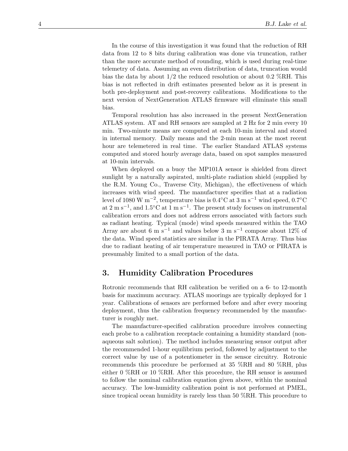<span id="page-7-0"></span>In the course of this investigation it was found that the reduction of RH data from 12 to 8 bits during calibration was done via truncation, rather than the more accurate method of rounding, which is used during real-time telemetry of data. Assuming an even distribution of data, truncation would bias the data by about  $1/2$  the reduced resolution or about 0.2 %RH. This bias is not reflected in drift estimates presented below as it is present in both pre-deployment and post-recovery calibrations. Modifications to the next version of NextGeneration ATLAS firmware will eliminate this small bias.

Temporal resolution has also increased in the present NextGeneration ATLAS system. AT and RH sensors are sampled at 2 Hz for 2 min every 10 min. Two-minute means are computed at each 10-min interval and stored in internal memory. Daily means and the 2-min mean at the most recent hour are telemetered in real time. The earlier Standard ATLAS systems computed and stored hourly average data, based on spot samples measured at 10-min intervals.

When deployed on a buoy the MP101A sensor is shielded from direct sunlight by a naturally aspirated, multi-plate radiation shield (supplied by the R.M. Young Co., Traverse City, Michigan), the effectiveness of which increases with wind speed. The manufacturer specifies that at a radiation level of 1080 W m−2, temperature bias is 0.4◦C at 3 m s−<sup>1</sup> wind speed, 0.7◦C at  $2 \text{ m s}^{-1}$ , and  $1.5 \text{°C}$  at  $1 \text{ m s}^{-1}$ . The present study focuses on instrumental calibration errors and does not address errors associated with factors such as radiant heating. Typical (mode) wind speeds measured within the TAO Array are about 6 m s<sup>-1</sup> and values below 3 m s<sup>-1</sup> compose about 12% of the data. Wind speed statistics are similar in the PIRATA Array. Thus bias due to radiant heating of air temperature measured in TAO or PIRATA is presumably limited to a small portion of the data.

## **3. Humidity Calibration Procedures**

Rotronic recommends that RH calibration be verified on a 6- to 12-month basis for maximum accuracy. ATLAS moorings are typically deployed for 1 year. Calibrations of sensors are performed before and after every mooring deployment, thus the calibration frequency recommended by the manufacturer is roughly met.

The manufacturer-specified calibration procedure involves connecting each probe to a calibration receptacle containing a humidity standard (nonaqueous salt solution). The method includes measuring sensor output after the recommended 1-hour equilibrium period, followed by adjustment to the correct value by use of a potentiometer in the sensor circuitry. Rotronic recommends this procedure be performed at 35 %RH and 80 %RH, plus either 0 %RH or 10 %RH. After this procedure, the RH sensor is assumed to follow the nominal calibration equation given above, within the nominal accuracy. The low-humidity calibration point is not performed at PMEL, since tropical ocean humidity is rarely less than 50 %RH. This procedure to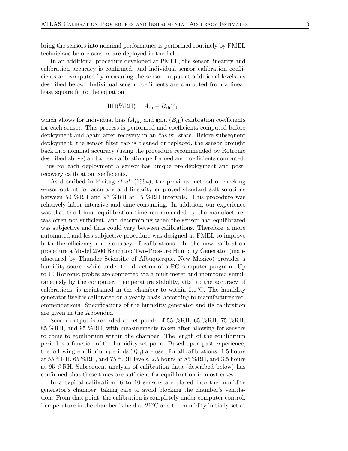bring the sensors into nominal performance is performed routinely by PMEL technicians before sensors are deployed in the field.

In an additional procedure developed at PMEL, the sensor linearity and calibration accuracy is confirmed, and individual sensor calibration coefficients are computed by measuring the sensor output at additional levels, as described below. Individual sensor coefficients are computed from a linear least square fit to the equation

$$
\mathrm{RH}(\%\mathrm{RH})=A_{\mathrm{rh}}+B_{\mathrm{rh}}V_{\mathrm{rh}}
$$

which allows for individual bias  $(A_{rh})$  and gain  $(B_{rh})$  calibration coefficients for each sensor. This process is performed and coefficients computed before deployment and again after recovery in an "as is" state. Before subsequent deployment, the sensor filter cap is cleaned or replaced, the sensor brought back into nominal accuracy (using the procedure recommended by Rotronic described above) and a new calibration performed and coefficients computed. Thus for each deployment a sensor has unique pre-deployment and postrecovery calibration coefficients.

As described in Freitag *et al.* (1994), the previous method of checking sensor output for accuracy and linearity employed standard salt solutions between 50 %RH and 95 %RH at 15 %RH intervals. This procedure was relatively labor intensive and time consuming. In addition, our experience was that the 1-hour equilibration time recommended by the manufacturer was often not sufficient, and determining when the sensor had equilibrated was subjective and thus could vary between calibrations. Therefore, a more automated and less subjective procedure was designed at PMEL to improve both the efficiency and accuracy of calibrations. In the new calibration procedure a Model 2500 Benchtop Two-Pressure Humidity Generator (manufactured by Thunder Scientific of Albuquerque, New Mexico) provides a humidity source while under the direction of a PC computer program. Up to 10 Rotronic probes are connected via a multimeter and monitored simultaneously by the computer. Temperature stability, vital to the accuracy of calibrations, is maintained in the chamber to within  $0.1\degree C$ . The humidity generator itself is calibrated on a yearly basis, according to manufacturer recommendations. Specifications of the humidity generator and its calibration are given in the Appendix.

Sensor output is recorded at set points of 55 %RH, 65 %RH, 75 %RH, 85 %RH, and 95 %RH, with measurements taken after allowing for sensors to come to equilibrium within the chamber. The length of the equilibrium period is a function of the humidity set point. Based upon past experience, the following equilibrium periods  $(T_{eq})$  are used for all calibrations: 1.5 hours at 55 %RH, 65 %RH, and 75 %RH levels, 2.5 hours at 85 %RH, and 3.5 hours at 95 %RH. Subsequent analysis of calibration data (described below) has confirmed that these times are sufficient for equilibration in most cases.

In a typical calibration, 6 to 10 sensors are placed into the humidity generator's chamber, taking care to avoid blocking the chamber's ventilation. From that point, the calibration is completely under computer control. Temperature in the chamber is held at 21◦C and the humidity initially set at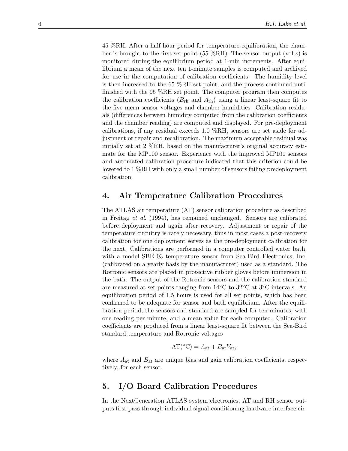<span id="page-9-0"></span>45 %RH. After a half-hour period for temperature equilibration, the chamber is brought to the first set point (55 %RH). The sensor output (volts) is monitored during the equilibrium period at 1-min increments. After equilibrium a mean of the next ten 1-minute samples is computed and archived for use in the computation of calibration coefficients. The humidity level is then increased to the 65 %RH set point, and the process continued until finished with the 95 %RH set point. The computer program then computes the calibration coefficients  $(B_{rh}$  and  $A_{rh}$ ) using a linear least-square fit to the five mean sensor voltages and chamber humidities. Calibration residuals (differences between humidity computed from the calibration coefficients and the chamber reading) are computed and displayed. For pre-deployment calibrations, if any residual exceeds 1.0 %RH, sensors are set aside for adjustment or repair and recalibration. The maximum acceptable residual was initially set at 2 %RH, based on the manufacturer's original accuracy estimate for the MP100 sensor. Experience with the improved MP101 sensors and automated calibration procedure indicated that this criterion could be lowered to 1 %RH with only a small number of sensors failing predeployment calibration.

## **4. Air Temperature Calibration Procedures**

The ATLAS air temperature (AT) sensor calibration procedure as described in Freitag *et al.* (1994), has remained unchanged. Sensors are calibrated before deployment and again after recovery. Adjustment or repair of the temperature circuitry is rarely necessary, thus in most cases a post-recovery calibration for one deployment serves as the pre-deployment calibration for the next. Calibrations are performed in a computer controlled water bath, with a model SBE 03 temperature sensor from Sea-Bird Electronics, Inc. (calibrated on a yearly basis by the manufacturer) used as a standard. The Rotronic sensors are placed in protective rubber gloves before immersion in the bath. The output of the Rotronic sensors and the calibration standard are measured at set points ranging from 14◦C to 32◦C at 3◦C intervals. An equilibration period of 1.5 hours is used for all set points, which has been confirmed to be adequate for sensor and bath equilibrium. After the equilibration period, the sensors and standard are sampled for ten minutes, with one reading per minute, and a mean value for each computed. Calibration coefficients are produced from a linear least-square fit between the Sea-Bird standard temperature and Rotronic voltages

$$
AT({}^{\circ}C) = A_{at} + B_{at}V_{at},
$$

where  $A_{\text{at}}$  and  $B_{\text{at}}$  are unique bias and gain calibration coefficients, respectively, for each sensor.

## **5. I/O Board Calibration Procedures**

In the NextGeneration ATLAS system electronics, AT and RH sensor outputs first pass through individual signal-conditioning hardware interface cir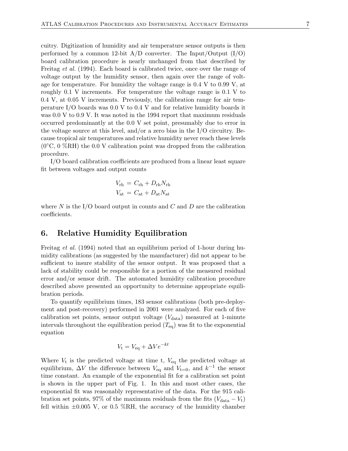<span id="page-10-0"></span>cuitry. Digitization of humidity and air temperature sensor outputs is then performed by a common 12-bit  $A/D$  converter. The Input/Output  $(I/O)$ board calibration procedure is nearly unchanged from that described by Freitag *et al.* (1994). Each board is calibrated twice, once over the range of voltage output by the humidity sensor, then again over the range of voltage for temperature. For humidity the voltage range is 0.4 V to 0.99 V, at roughly 0.1 V increments. For temperature the voltage range is 0.1 V to 0.4 V, at 0.05 V increments. Previously, the calibration range for air temperature I/O boards was 0.0 V to 0.4 V and for relative humidity boards it was 0.0 V to 0.9 V. It was noted in the 1994 report that maximum residuals occurred predominantly at the 0.0 V set point, presumably due to error in the voltage source at this level, and/or a zero bias in the I/O circuitry. Because tropical air temperatures and relative humidity never reach these levels  $(0°C, 0\%RH)$  the 0.0 V calibration point was dropped from the calibration procedure.

I/O board calibration coefficients are produced from a linear least square fit between voltages and output counts

$$
V_{\rm rh} = C_{\rm rh} + D_{\rm rh} N_{\rm rh}
$$

$$
V_{\rm at} = C_{\rm at} + D_{\rm at} N_{\rm at}
$$

where  $N$  is the I/O board output in counts and  $C$  and  $D$  are the calibration coefficients.

## **6. Relative Humidity Equilibration**

Freitag *et al.* (1994) noted that an equilibrium period of 1-hour during humidity calibrations (as suggested by the manufacturer) did not appear to be sufficient to insure stability of the sensor output. It was proposed that a lack of stability could be responsible for a portion of the measured residual error and/or sensor drift. The automated humidity calibration procedure described above presented an opportunity to determine appropriate equilibration periods.

To quantify equilibrium times, 183 sensor calibrations (both pre-deployment and post-recovery) performed in 2001 were analyzed. For each of five calibration set points, sensor output voltage  $(V_{data})$  measured at 1-minute intervals throughout the equilibration period  $(T_{eq})$  was fit to the exponential equation

$$
V_{\rm t} = V_{\rm eq} + \Delta V e^{-kt}
$$

Where  $V_t$  is the predicted voltage at time t,  $V_{eq}$  the predicted voltage at equilibrium,  $\Delta V$  the difference between  $V_{eq}$  and  $V_{t=0}$ , and  $k^{-1}$  the sensor time constant. An example of the exponential fit for a calibration set point is shown in the upper part of Fig. 1. In this and most other cases, the exponential fit was reasonably representative of the data. For the 915 calibration set points, 97% of the maximum residuals from the fits  $(V_{data} - V_t)$ fell within  $\pm 0.005$  V, or 0.5 %RH, the accuracy of the humidity chamber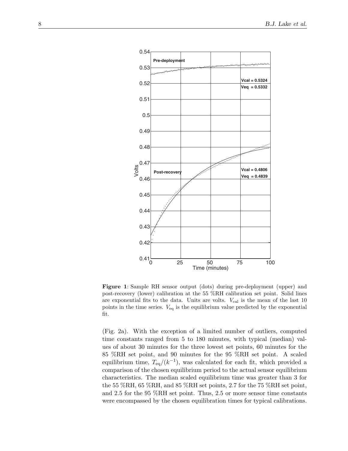<span id="page-11-0"></span>

**Figure 1**: Sample RH sensor output (dots) during pre-deployment (upper) and post-recovery (lower) calibration at the 55 %RH calibration set point. Solid lines are exponential fits to the data. Units are volts.  $V_{\text{cal}}$  is the mean of the last 10 points in the time series.  $V_{eq}$  is the equilibrium value predicted by the exponential fit.

(Fig. 2a). With the exception of a limited number of outliers, computed time constants ranged from 5 to 180 minutes, with typical (median) values of about 30 minutes for the three lowest set points, 60 minutes for the 85 %RH set point, and 90 minutes for the 95 %RH set point. A scaled equilibrium time,  $T_{eq}/(k^{-1})$ , was calculated for each fit, which provided a comparison of the chosen equilibrium period to the actual sensor equilibrium characteristics. The median scaled equilibrium time was greater than 3 for the 55 %RH, 65 %RH, and 85 %RH set points, 2.7 for the 75 %RH set point, and 2.5 for the 95 %RH set point. Thus, 2.5 or more sensor time constants were encompassed by the chosen equilibration times for typical calibrations.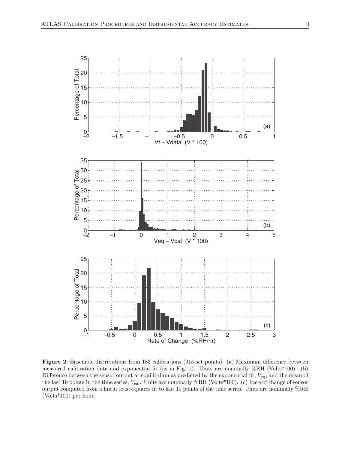<span id="page-12-0"></span>

**Figure 2**: Ensemble distributions from 183 calibrations (915 set points). (a) Maximum difference between measured calibration data and exponential fit (as in Fig. 1). Units are nominally %RH (Volts\*100). (b) Difference between the sensor output at equilibrium as predicted by the exponential fit, *V*eq, and the mean of the last 10 points in the time series,  $V_{\text{cal}}$ . Units are nominally %RH (Volts\*100). (c) Rate of change of sensor output computed from a linear least-squares fit to last 10 points of the time series. Units are nominally %RH (Volts\*100) per hour.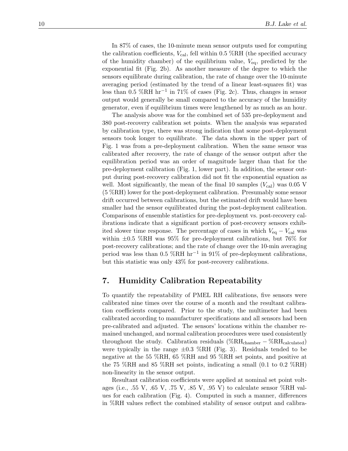<span id="page-13-0"></span>In 87% of cases, the 10-minute mean sensor outputs used for computing the calibration coefficients,  $V_{\text{cal}}$ , fell within 0.5 %RH (the specified accuracy of the humidity chamber) of the equilibrium value, *V*eq, predicted by the exponential fit (Fig. 2b). As another measure of the degree to which the sensors equilibrate during calibration, the rate of change over the 10-minute averaging period (estimated by the trend of a linear least-squares fit) was less than 0.5 %RH hr−<sup>1</sup> in 71% of cases (Fig. 2c). Thus, changes in sensor output would generally be small compared to the accuracy of the humidity generator, even if equilibrium times were lengthened by as much as an hour.

The analysis above was for the combined set of 535 pre-deployment and 380 post-recovery calibration set points. When the analysis was separated by calibration type, there was strong indication that some post-deployment sensors took longer to equilibrate. The data shown in the upper part of Fig. 1 was from a pre-deployment calibration. When the same sensor was calibrated after recovery, the rate of change of the sensor output after the equilibration period was an order of magnitude larger than that for the pre-deployment calibration (Fig. 1, lower part). In addition, the sensor output during post-recovery calibration did not fit the exponential equation as well. Most significantly, the mean of the final 10 samples  $(V_{\text{cal}})$  was 0.05 V (5 %RH) lower for the post-deployment calibration. Presumably some sensor drift occurred between calibrations, but the estimated drift would have been smaller had the sensor equilibrated during the post-deployment calibration. Comparisons of ensemble statistics for pre-deployment vs. post-recovery calibrations indicate that a significant portion of post-recovery sensors exhibited slower time response. The percentage of cases in which  $V_{eq} - V_{cal}$  was within  $\pm 0.5$  %RH was 95% for pre-deployment calibrations, but 76% for post-recovery calibrations; and the rate of change over the 10-min averaging period was less than 0.5 %RH hr<sup>-1</sup> in 91% of pre-deployment calibrations, but this statistic was only 43% for post-recovery calibrations.

## **7. Humidity Calibration Repeatability**

To quantify the repeatability of PMEL RH calibrations, five sensors were calibrated nine times over the course of a month and the resultant calibration coefficients compared. Prior to the study, the multimeter had been calibrated according to manufacturer specifications and all sensors had been pre-calibrated and adjusted. The sensors' locations within the chamber remained unchanged, and normal calibration procedures were used consistently throughout the study. Calibration residuals (%RH<sub>chamber</sub> – %RH<sub>calculated</sub>) were typically in the range  $\pm 0.3$  %RH (Fig. 3). Residuals tended to be negative at the 55 %RH, 65 %RH and 95 %RH set points, and positive at the 75 %RH and 85 %RH set points, indicating a small  $(0.1 \text{ to } 0.2 \text{ %RH})$ non-linearity in the sensor output.

Resultant calibration coefficients were applied at nominal set point voltages (i.e., .55 V, .65 V, .75 V, .85 V, .95 V) to calculate sensor %RH values for each calibration (Fig. 4). Computed in such a manner, differences in %RH values reflect the combined stability of sensor output and calibra-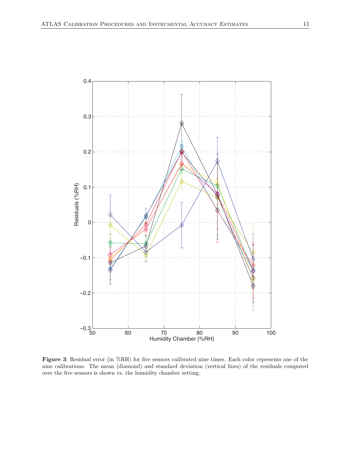<span id="page-14-0"></span>

**Figure 3**: Residual error (in %RH) for five sensors calibrated nine times. Each color represents one of the nine calibrations. The mean (diamond) and standard deviation (vertical lines) of the residuals computed over the five sensors is shown vs. the humidity chamber setting.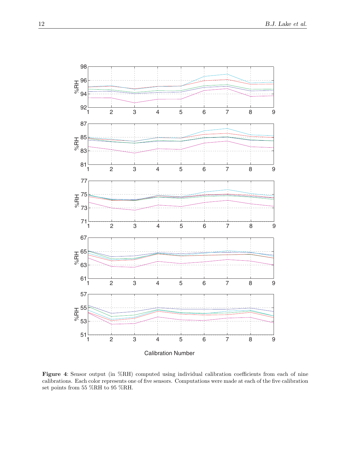<span id="page-15-0"></span>

**Figure 4**: Sensor output (in %RH) computed using individual calibration coefficients from each of nine calibrations. Each color represents one of five sensors. Computations were made at each of the five calibration set points from 55 %RH to 95 %RH.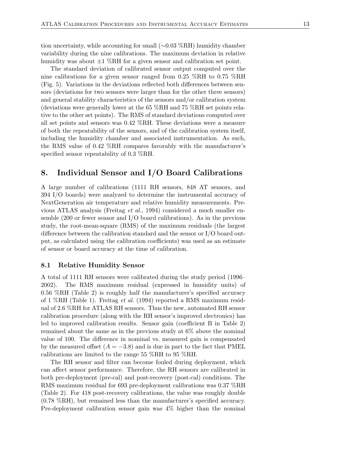<span id="page-16-0"></span>tion uncertainty, while accounting for small (∼0.03 %RH) humidity chamber variability during the nine calibrations. The maximum deviation in relative humidity was about  $\pm 1$  %RH for a given sensor and calibration set point.

The standard deviation of calibrated sensor output computed over the nine calibrations for a given sensor ranged from 0.25 %RH to 0.75 %RH (Fig. 5). Variations in the deviations reflected both differences between sensors (deviations for two sensors were larger than for the other three sensors) and general stability characteristics of the sensors and/or calibration system (deviations were generally lower at the 65 %RH and 75 %RH set points relative to the other set points). The RMS of standard deviations computed over all set points and sensors was 0.42 %RH. These deviations were a measure of both the repeatability of the sensors, and of the calibration system itself, including the humidity chamber and associated instrumentation. As such, the RMS value of 0.42 %RH compares favorably with the manufacturer's specified sensor repeatability of 0.3 %RH.

## **8. Individual Sensor and I/O Board Calibrations**

A large number of calibrations (1111 RH sensors, 848 AT sensors, and 394 I/O boards) were analyzed to determine the instrumental accuracy of NextGeneration air temperature and relative humidity measurements. Previous ATLAS analysis (Freitag *et al.*, 1994) considered a much smaller ensemble  $(200 \text{ or fewer sensor and I/O board calibrations})$ . As in the previous study, the root-mean-square (RMS) of the maximum residuals (the largest difference between the calibration standard and the sensor or I/O board output, as calculated using the calibration coefficients) was used as an estimate of sensor or board accuracy at the time of calibration.

#### **8.1 Relative Humidity Sensor**

A total of 1111 RH sensors were calibrated during the study period (1996– 2002). The RMS maximum residual (expressed in humidity units) of 0.56 %RH (Table 2) is roughly half the manufacturer's specified accuracy of 1 %RH (Table 1). Freitag *et al.* (1994) reported a RMS maximum residual of 2.6 %RH for ATLAS RH sensors. Thus the new, automated RH sensor calibration procedure (along with the RH sensor's improved electronics) has led to improved calibration results. Sensor gain (coefficient B in Table 2) remained about the same as in the previous study at 6% above the nominal value of 100. The difference in nominal vs. measured gain is compensated by the measured offset  $(A = -3.8)$  and is due in part to the fact that PMEL calibrations are limited to the range 55 %RH to 95 %RH.

The RH sensor and filter can become fouled during deployment, which can affect sensor performance. Therefore, the RH sensors are calibrated in both pre-deployment (pre-cal) and post-recovery (post-cal) conditions. The RMS maximum residual for 693 pre-deployment calibrations was 0.37 %RH (Table 2). For 418 post-recovery calibrations, the value was roughly double (0.78 %RH), but remained less than the manufacturer's specified accuracy. Pre-deployment calibration sensor gain was 4% higher than the nominal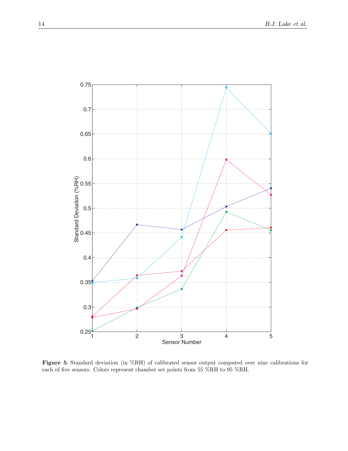<span id="page-17-0"></span>

**Figure 5**: Standard deviation (in %RH) of calibrated sensor output computed over nine calibrations for each of five sensors. Colors represent chamber set points from 55 %RH to 95 %RH.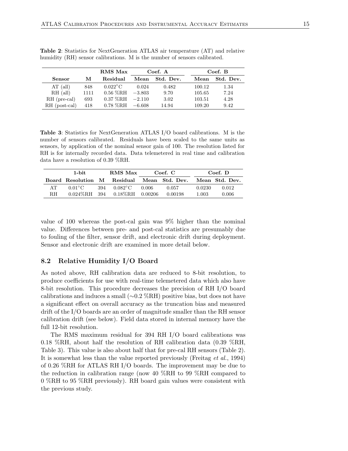|               |      | RMS Max                      |          | Coef. A   |        | Coef. B   |
|---------------|------|------------------------------|----------|-----------|--------|-----------|
| <b>Sensor</b> | М    | Residual                     | Mean     | Std. Dev. | Mean   | Std. Dev. |
| $AT$ (all)    | 848  | $0.022^{\circ}$ C            | 0.024    | 0.482     | 100.12 | 1.34      |
| $RH$ (all)    | 1111 | $0.56~\%{\rm RH}$            | $-3.803$ | 9.70      | 105.65 | 7.24      |
| RH (pre-cal)  | 693  | $0.37\ \%\mathrm{RH}$ -2.110 |          | 3.02      | 103.51 | 4.28      |
| RH (post-cal) | 418  | $0.78\ \%\mathrm{RH}$ -6.608 |          | 14.94     | 109.20 | 9.42      |

<span id="page-18-0"></span>**Table 2**: Statistics for NextGeneration ATLAS air temperature (AT) and relative humidity (RH) sensor calibrations. M is the number of sensors calibrated.

**Table 3**: Statistics for NextGeneration ATLAS I/O board calibrations. M is the number of sensors calibrated. Residuals have been scaled to the same units as sensors, by application of the nominal sensor gain of 100. The resolution listed for RH is for internally recorded data. Data telemetered in real time and calibration data have a resolution of 0.39 %RH.

|     | 1-bit.                                     | RMS Max                                |       | Coef. C |        | Coef. D        |
|-----|--------------------------------------------|----------------------------------------|-------|---------|--------|----------------|
|     | Board Resolution M Residual Mean Std. Dev. |                                        |       |         |        | Mean Std. Dev. |
| AT. | $0.01^{\circ}$ C                           | 394 $0.082^{\circ}$ C                  | 0.006 | 0.057   | 0.0230 | 0.012          |
| RН  |                                            | $0.024\%$ RH 394 $0.18\%$ RH $0.00206$ |       | 0.00198 | 1.003  | 0.006          |

value of 100 whereas the post-cal gain was 9% higher than the nominal value. Differences between pre- and post-cal statistics are presumably due to fouling of the filter, sensor drift, and electronic drift during deployment. Sensor and electronic drift are examined in more detail below.

#### **8.2 Relative Humidity I/O Board**

As noted above, RH calibration data are reduced to 8-bit resolution, to produce coefficients for use with real-time telemetered data which also have 8-bit resolution. This procedure decreases the precision of RH I/O board calibrations and induces a small ( $\sim$ 0.2 %RH) positive bias, but does not have a significant effect on overall accuracy as the truncation bias and measured drift of the I/O boards are an order of magnitude smaller than the RH sensor calibration drift (see below). Field data stored in internal memory have the full 12-bit resolution.

The RMS maximum residual for 394 RH I/O board calibrations was 0.18 %RH, about half the resolution of RH calibration data (0.39 %RH, Table 3). This value is also about half that for pre-cal RH sensors (Table 2). It is somewhat less than the value reported previously (Freitag *et al.*, 1994) of 0.26 %RH for ATLAS RH I/O boards. The improvement may be due to the reduction in calibration range (now 40 %RH to 99 %RH compared to 0 %RH to 95 %RH previously). RH board gain values were consistent with the previous study.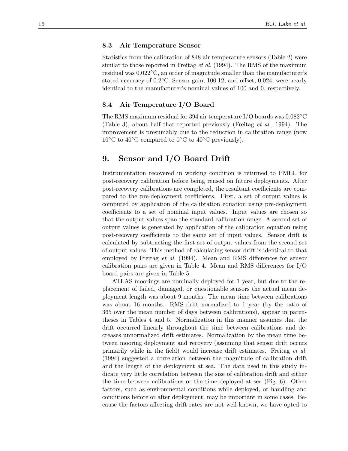#### <span id="page-19-0"></span>**8.3 Air Temperature Sensor**

Statistics from the calibration of 848 air temperature sensors (Table 2) were similar to those reported in Freitag *et al.* (1994). The RMS of the maximum residual was 0.022◦C, an order of magnitude smaller than the manufacturer's stated accuracy of  $0.2\degree$ C. Sensor gain, 100.12, and offset, 0.024, were nearly identical to the manufacturer's nominal values of 100 and 0, respectively.

#### **8.4 Air Temperature I/O Board**

The RMS maximum residual for 394 air temperature I/O boards was  $0.082^{\circ}$ C (Table 3), about half that reported previously (Freitag *et al.*, 1994). The improvement is presumably due to the reduction in calibration range (now  $10\degree$ C to  $40\degree$ C compared to  $0\degree$ C to  $40\degree$ C previously).

## **9. Sensor and I/O Board Drift**

Instrumentation recovered in working condition is returned to PMEL for post-recovery calibration before being reused on future deployments. After post-recovery calibrations are completed, the resultant coefficients are compared to the pre-deployment coefficients. First, a set of output values is computed by application of the calibration equation using pre-deployment coefficients to a set of nominal input values. Input values are chosen so that the output values span the standard calibration range. A second set of output values is generated by application of the calibration equation using post-recovery coefficients to the same set of input values. Sensor drift is calculated by subtracting the first set of output values from the second set of output values. This method of calculating sensor drift is identical to that employed by Freitag *et al.* (1994). Mean and RMS differences for sensor calibration pairs are given in Table 4. Mean and RMS differences for I/O board pairs are given in Table 5.

ATLAS moorings are nominally deployed for 1 year, but due to the replacement of failed, damaged, or questionable sensors the actual mean deployment length was about 9 months. The mean time between calibrations was about 16 months. RMS drift normalized to 1 year (by the ratio of 365 over the mean number of days between calibrations), appear in parentheses in Tables 4 and 5. Normalization in this manner assumes that the drift occurred linearly throughout the time between calibrations and decreases unnormalized drift estimates. Normalization by the mean time between mooring deployment and recovery (assuming that sensor drift occurs primarily while in the field) would increase drift estimates. Freitag *et al.* (1994) suggested a correlation between the magnitude of calibration drift and the length of the deployment at sea. The data used in this study indicate very little correlation between the size of calibration drift and either the time between calibrations or the time deployed at sea (Fig. 6). Other factors, such as environmental conditions while deployed, or handling and conditions before or after deployment, may be important in some cases. Because the factors affecting drift rates are not well known, we have opted to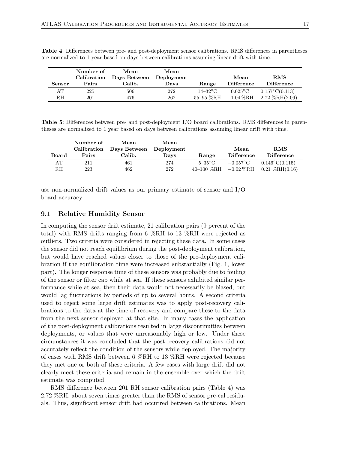| <b>Sensor</b> | Number of<br>Calibration<br>Pairs | Mean<br>Days Between<br>Calib. | Mean<br>Deployment<br>Days | Range        | Mean<br><b>Difference</b> | RMS<br><b>Difference</b> |
|---------------|-----------------------------------|--------------------------------|----------------------------|--------------|---------------------------|--------------------------|
| AT            | 225                               | 506                            | 272                        | $14 - 32$ °C | $0.025^{\circ}$ C         | $0.157^{\circ}C(0.113)$  |
| RН            | 201                               | 476                            | 262                        | 55-95 %RH    | $1.04\,\%$ RH             | $2.72 \; \%RH(2.09)$     |

<span id="page-20-0"></span>**Table 4**: Differences between pre- and post-deployment sensor calibrations. RMS differences in parentheses are normalized to 1 year based on days between calibrations assuming linear drift with time.

**Table 5**: Differences between pre- and post-deployment I/O board calibrations. RMS differences in parentheses are normalized to 1 year based on days between calibrations assuming linear drift with time.

|              | Number of   | Mean                    | Mean |                              |                            |                         |
|--------------|-------------|-------------------------|------|------------------------------|----------------------------|-------------------------|
|              | Calibration | Days Between Deployment |      |                              | Mean                       | RMS                     |
| <b>Board</b> | Pairs       | Calib.                  | Days | Range                        | <b>Difference</b>          | <b>Difference</b>       |
| AT           | 211         | 461                     | 274  | $5-35^{\circ}$ C             | $-0.057^{\circ}\mathrm{C}$ | $0.146^{\circ}C(0.115)$ |
| RН           | 223         | 462                     | 272  | 40–100 $\%$ RH –0.02 $\%$ RH |                            | $0.21 \; \%RH(0.16)$    |

use non-normalized drift values as our primary estimate of sensor and I/O board accuracy.

#### **9.1 Relative Humidity Sensor**

In computing the sensor drift estimate, 21 calibration pairs (9 percent of the total) with RMS drifts ranging from 6 %RH to 13 %RH were rejected as outliers. Two criteria were considered in rejecting these data. In some cases the sensor did not reach equilibrium during the post-deployment calibration, but would have reached values closer to those of the pre-deployment calibration if the equilibration time were increased substantially (Fig. 1, lower part). The longer response time of these sensors was probably due to fouling of the sensor or filter cap while at sea. If these sensors exhibited similar performance while at sea, then their data would not necessarily be biased, but would lag fluctuations by periods of up to several hours. A second criteria used to reject some large drift estimates was to apply post-recovery calibrations to the data at the time of recovery and compare these to the data from the next sensor deployed at that site. In many cases the application of the post-deployment calibrations resulted in large discontinuities between deployments, or values that were unreasonably high or low. Under these circumstances it was concluded that the post-recovery calibrations did not accurately reflect the condition of the sensors while deployed. The majority of cases with RMS drift between 6 %RH to 13 %RH were rejected because they met one or both of these criteria. A few cases with large drift did not clearly meet these criteria and remain in the ensemble over which the drift estimate was computed.

RMS difference between 201 RH sensor calibration pairs (Table 4) was 2.72 %RH, about seven times greater than the RMS of sensor pre-cal residuals. Thus, significant sensor drift had occurred between calibrations. Mean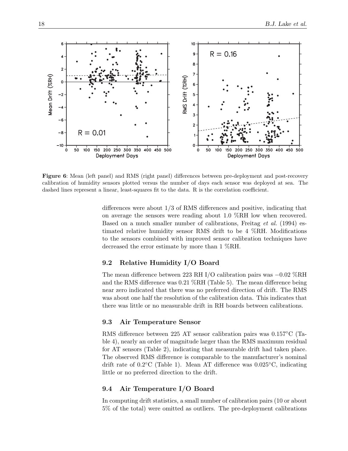<span id="page-21-0"></span>

**Figure 6**: Mean (left panel) and RMS (right panel) differences between pre-deployment and post-recovery calibration of humidity sensors plotted versus the number of days each sensor was deployed at sea. The dashed lines represent a linear, least-squares fit to the data. R is the correlation coefficient.

differences were about 1/3 of RMS differences and positive, indicating that on average the sensors were reading about 1.0 %RH low when recovered. Based on a much smaller number of calibrations, Freitag *et al.* (1994) estimated relative humidity sensor RMS drift to be 4 %RH. Modifications to the sensors combined with improved sensor calibration techniques have decreased the error estimate by more than 1 %RH.

#### **9.2 Relative Humidity I/O Board**

The mean difference between 223 RH I/O calibration pairs was −0.02 %RH and the RMS difference was 0.21 %RH (Table 5). The mean difference being near zero indicated that there was no preferred direction of drift. The RMS was about one half the resolution of the calibration data. This indicates that there was little or no measurable drift in RH boards between calibrations.

#### **9.3 Air Temperature Sensor**

RMS difference between 225 AT sensor calibration pairs was 0.157◦C (Table 4), nearly an order of magnitude larger than the RMS maximum residual for AT sensors (Table 2), indicating that measurable drift had taken place. The observed RMS difference is comparable to the manufacturer's nominal drift rate of  $0.2\degree$ C (Table 1). Mean AT difference was  $0.025\degree$ C, indicating little or no preferred direction to the drift.

#### **9.4 Air Temperature I/O Board**

In computing drift statistics, a small number of calibration pairs (10 or about 5% of the total) were omitted as outliers. The pre-deployment calibrations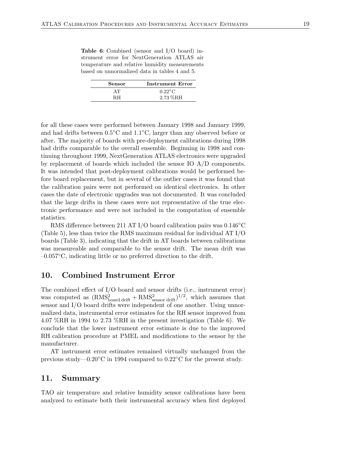<span id="page-22-0"></span>**Table 6**: Combined (sensor and I/O board) instrument error for NextGeneration ATLAS air temperature and relative humidity measurements based on unnormalized data in tables 4 and 5.

| Sensor | <b>Instrument Error</b> |
|--------|-------------------------|
| ΔΤ     | $0.22^{\circ}$ C        |
| RН     | $2.73~\%$ RH            |

for all these cases were performed between January 1998 and January 1999, and had drifts between 0.5◦C and 1.1◦C, larger than any observed before or after. The majority of boards with pre-deployment calibrations during 1998 had drifts comparable to the overall ensemble. Beginning in 1998 and continuing throughout 1999, NextGeneration ATLAS electronics were upgraded by replacement of boards which included the sensor IO A/D components. It was intended that post-deployment calibrations would be performed before board replacement, but in several of the outlier cases it was found that the calibration pairs were not performed on identical electronics. In other cases the date of electronic upgrades was not documented. It was concluded that the large drifts in these cases were not representative of the true electronic performance and were not included in the computation of ensemble statistics.

RMS difference between 211 AT I/O board calibration pairs was 0.146◦C (Table 5), less than twice the RMS maximum residual for individual AT I/O boards (Table 3), indicating that the drift in AT boards between calibrations was measureable and comparable to the sensor drift. The mean drift was –0.057◦C, indicating little or no preferred direction to the drift.

### **10. Combined Instrument Error**

The combined effect of I/O board and sensor drifts (i.e., instrument error) was computed as  $(RMS_{\text{board drift}}^2 + RMS_{\text{sensor drift}}^2)^{1/2}$ , which assumes that sensor and I/O board drifts were independent of one another. Using unnormalized data, instrumental error estimates for the RH sensor improved from 4.07 %RH in 1994 to 2.73 %RH in the present investigation (Table 6). We conclude that the lower instrument error estimate is due to the improved RH calibration procedure at PMEL and modifications to the sensor by the manufacturer.

AT instrument error estimates remained virtually unchanged from the previous study—0.20◦C in 1994 compared to 0.22◦C for the present study.

#### **11. Summary**

TAO air temperature and relative humidity sensor calibrations have been analyzed to estimate both their instrumental accuracy when first deployed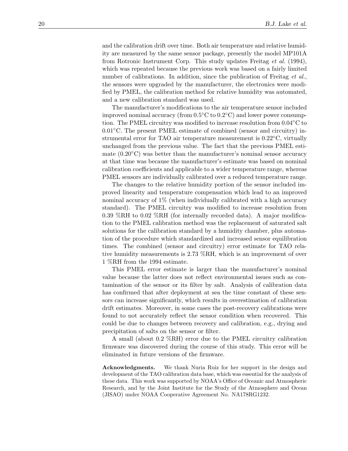and the calibration drift over time. Both air temperature and relative humidity are measured by the same sensor package, presently the model MP101A from Rotronic Instrument Corp. This study updates Freitag *et al.* (1994), which was repeated because the previous work was based on a fairly limited number of calibrations. In addition, since the publication of Freitag *et al.*, the sensors were upgraded by the manufacturer, the electronics were modified by PMEL, the calibration method for relative humidity was automated, and a new calibration standard was used.

The manufacturer's modifications to the air temperature sensor included improved nominal accuracy (from  $0.5\degree$ C to  $0.2\degree$ C) and lower power consumption. The PMEL circuitry was modified to increase resolution from 0.04◦C to 0.01◦C. The present PMEL estimate of combined (sensor and circuitry) instrumental error for TAO air temperature measurement is  $0.22\degree C$ , virtually unchanged from the previous value. The fact that the previous PMEL estimate  $(0.20\degree C)$  was better than the manufacturer's nominal sensor accuracy at that time was because the manufacturer's estimate was based on nominal calibration coefficients and applicable to a wider temperature range, whereas PMEL sensors are individually calibrated over a reduced temperature range.

The changes to the relative humidity portion of the sensor included improved linearity and temperature compensation which lead to an improved nominal accuracy of 1% (when individually calibrated with a high accuracy standard). The PMEL circuitry was modified to increase resolution from 0.39 %RH to 0.02 %RH (for internally recorded data). A major modification to the PMEL calibration method was the replacement of saturated salt solutions for the calibration standard by a humidity chamber, plus automation of the procedure which standardized and increased sensor equilibration times. The combined (sensor and circuitry) error estimate for TAO relative humidity measurements is 2.73 %RH, which is an improvement of over 1 %RH from the 1994 estimate.

This PMEL error estimate is larger than the manufacturer's nominal value because the latter does not reflect environmental issues such as contamination of the sensor or its filter by salt. Analysis of calibration data has confirmed that after deployment at sea the time constant of these sensors can increase significantly, which results in overestimation of calibration drift estimates. Moreover, in some cases the post-recovery calibrations were found to not accurately reflect the sensor condition when recovered. This could be due to changes between recovery and calibration, e.g., drying and precipitation of salts on the sensor or filter.

A small (about 0.2 %RH) error due to the PMEL circuitry calibration firmware was discovered during the course of this study. This error will be eliminated in future versions of the firmware.

**Acknowledgments.** We thank Nuria Ruiz for her support in the design and development of the TAO calibration data base, which was essential for the analysis of these data. This work was supported by NOAA's Office of Oceanic and Atmospheric Research, and by the Joint Institute for the Study of the Atmosphere and Ocean (JISAO) under NOAA Cooperative Agreement No. NA178RG1232.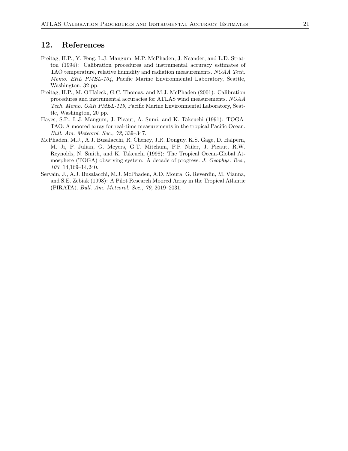## <span id="page-24-0"></span>**12. References**

- Freitag, H.P., Y. Feng, L.J. Mangum, M.P. McPhaden, J. Neander, and L.D. Stratton (1994): Calibration procedures and instrumental accuracy estimates of TAO temperature, relative humidity and radiation measurements. *NOAA Tech. Memo. ERL PMEL-104*, Pacific Marine Environmental Laboratory, Seattle, Washington, 32 pp.
- Freitag, H.P., M. O'Haleck, G.C. Thomas, and M.J. McPhaden (2001): Calibration procedures and instrumental accuracies for ATLAS wind measurements. *NOAA Tech. Memo. OAR PMEL-119*, Pacific Marine Environmental Laboratory, Seattle, Washington, 20 pp.
- Hayes, S.P., L.J. Mangum, J. Picaut, A. Sumi, and K. Takeuchi (1991): TOGA-TAO: A moored array for real-time measurements in the tropical Pacific Ocean. *Bull. Am. Meteorol. Soc., 72*, 339–347.
- McPhaden, M.J., A.J. Busalacchi, R. Cheney, J.R. Donguy, K.S. Gage, D. Halpern, M. Ji, P. Julian, G. Meyers, G.T. Mitchum, P.P. Niiler, J. Picaut, R.W. Reynolds, N. Smith, and K. Takeuchi (1998): The Tropical Ocean-Global Atmosphere (TOGA) observing system: A decade of progress. *J. Geophys. Res., 103*, 14,169–14,240.
- Servain, J., A.J. Busalacchi, M.J. McPhaden, A.D. Moura, G. Reverdin, M. Vianna, and S.E. Zebiak (1998): A Pilot Research Moored Array in the Tropical Atlantic (PIRATA). *Bull. Am. Meteorol. Soc., 79*, 2019–2031.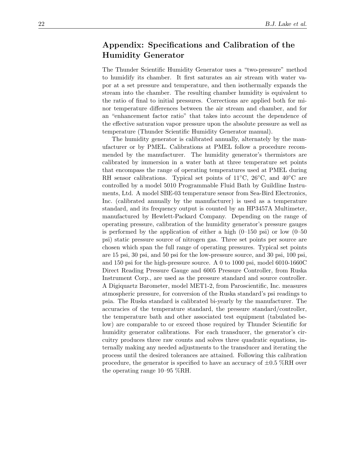## <span id="page-25-0"></span>**Appendix: Specifications and Calibration of the Humidity Generator**

The Thunder Scientific Humidity Generator uses a "two-pressure" method to humidify its chamber. It first saturates an air stream with water vapor at a set pressure and temperature, and then isothermally expands the stream into the chamber. The resulting chamber humidity is equivalent to the ratio of final to initial pressures. Corrections are applied both for minor temperature differences between the air stream and chamber, and for an "enhancement factor ratio" that takes into account the dependence of the effective saturation vapor pressure upon the absolute pressure as well as temperature (Thunder Scientific Humidity Generator manual).

The humidity generator is calibrated annually, alternately by the manufacturer or by PMEL. Calibrations at PMEL follow a procedure recommended by the manufacturer. The humidity generator's thermistors are calibrated by immersion in a water bath at three temperature set points that encompass the range of operating temperatures used at PMEL during RH sensor calibrations. Typical set points of 11 $°C$ , 26 $°C$ , and 40 $°C$  are controlled by a model 5010 Programmable Fluid Bath by Guildline Instruments, Ltd. A model SBE-03 temperature sensor from Sea-Bird Electronics, Inc. (calibrated annually by the manufacturer) is used as a temperature standard, and its frequency output is counted by an HP3457A Multimeter, manufactured by Hewlett-Packard Company. Depending on the range of operating pressure, calibration of the humidity generator's pressure gauges is performed by the application of either a high  $(0-150 \text{ psi})$  or low  $(0-50 \text{ s})$ psi) static pressure source of nitrogen gas. Three set points per source are chosen which span the full range of operating pressures. Typical set points are 15 psi, 30 psi, and 50 psi for the low-pressure source, and 30 psi, 100 psi, and 150 psi for the high-pressure source. A 0 to 1000 psi, model 6010-1660C Direct Reading Pressure Gauge and 6005 Pressure Controller, from Ruska Instrument Corp., are used as the pressure standard and source controller. A Digiquartz Barometer, model MET1-2, from Paroscientific, Inc. measures atmospheric pressure, for conversion of the Ruska standard's psi readings to psia. The Ruska standard is calibrated bi-yearly by the manufacturer. The accuracies of the temperature standard, the pressure standard/controller, the temperature bath and other associated test equipment (tabulated below) are comparable to or exceed those required by Thunder Scientific for humidity generator calibrations. For each transducer, the generator's circuitry produces three raw counts and solves three quadratic equations, internally making any needed adjustments to the transducer and iterating the process until the desired tolerances are attained. Following this calibration procedure, the generator is specified to have an accuracy of  $\pm 0.5$  %RH over the operating range 10–95 %RH.